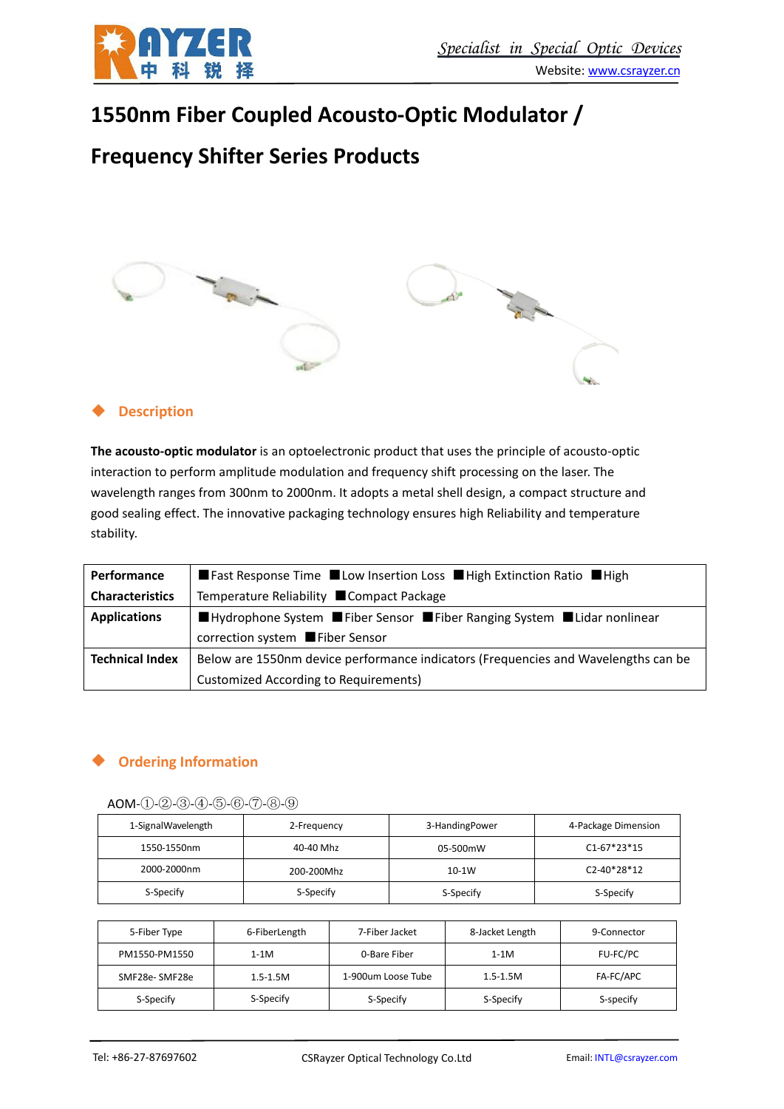

# **1550nm Fiber Coupled Acousto-Optic Modulator /**

## **Frequency Shifter Series Products**



### **Description**

**The acousto-optic modulator** is an optoelectronic product that uses the principle of acousto-optic interaction to perform amplitude modulation and frequency shift processing on the laser. The wavelength ranges from 300nm to 2000nm. It adopts a metal shell design, a compact structure and good sealing effect. The innovative packaging technology ensures high Reliability and temperature stability.

| Performance            | ■ Fast Response Time ■ Low Insertion Loss ■ High Extinction Ratio ■ High           |
|------------------------|------------------------------------------------------------------------------------|
| <b>Characteristics</b> | Temperature Reliability ■ Compact Package                                          |
| <b>Applications</b>    | ■ Hydrophone System ■ Fiber Sensor ■ Fiber Ranging System ■ Lidar nonlinear        |
|                        | correction system ■ Fiber Sensor                                                   |
| <b>Technical Index</b> | Below are 1550nm device performance indicators (Frequencies and Wavelengths can be |
|                        | Customized According to Requirements)                                              |

### **Ordering Information**

#### AOM-①-②-③-④-⑤-⑥-⑦-⑧-⑨

| 1-SignalWavelength | 2-Frequency | 3-HandingPower            | 4-Package Dimension |  |
|--------------------|-------------|---------------------------|---------------------|--|
| 1550-1550nm        | 40-40 Mhz   | $C1-67*23*15$<br>05-500mW |                     |  |
| 2000-2000nm        | 200-200Mhz  | 10-1W                     | C2-40*28*12         |  |
| S-Specify          | S-Specify   | S-Specify                 | S-Specify           |  |

| 5-Fiber Type  | 6-FiberLength | 7-Fiber Jacket     | 8-Jacket Length | 9-Connector |
|---------------|---------------|--------------------|-----------------|-------------|
| PM1550-PM1550 | $1-1M$        | 0-Bare Fiber       | $1-1M$          | FU-FC/PC    |
| SMF28e-SMF28e | $1.5 - 1.5M$  | 1-900um Loose Tube | $1.5 - 1.5M$    | FA-FC/APC   |
| S-Specify     | S-Specify     | S-Specify          | S-Specify       | S-specify   |